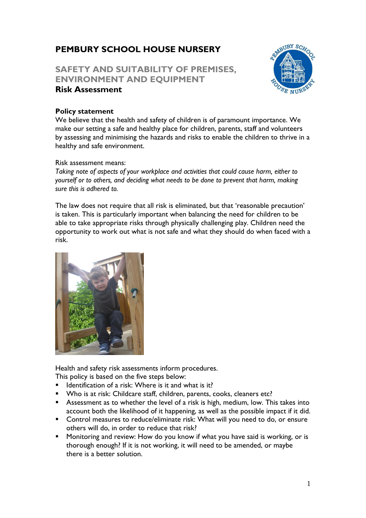# **PEMBURY SCHOOL HOUSE NURSERY**

# **SAFETY AND SUITABILITY OF PREMISES, ENVIRONMENT AND EQUIPMENT Risk Assessment**



#### **Policy statement**

We believe that the health and safety of children is of paramount importance. We make our setting a safe and healthy place for children, parents, staff and volunteers by assessing and minimising the hazards and risks to enable the children to thrive in a healthy and safe environment.

#### Risk assessment means:

*Taking note of aspects of your workplace and activities that could cause harm, either to yourself or to others, and deciding what needs to be done to prevent that harm, making sure this is adhered to.*

The law does not require that all risk is eliminated, but that 'reasonable precaution' is taken. This is particularly important when balancing the need for children to be able to take appropriate risks through physically challenging play. Children need the opportunity to work out what is not safe and what they should do when faced with a risk.



Health and safety risk assessments inform procedures.

This policy is based on the five steps below:

- $\blacksquare$  Identification of a risk: Where is it and what is it?
- Who is at risk: Childcare staff, children, parents, cooks, cleaners etc?
- Assessment as to whether the level of a risk is high, medium, low. This takes into account both the likelihood of it happening, as well as the possible impact if it did.
- Control measures to reduce/eliminate risk: What will you need to do, or ensure others will do, in order to reduce that risk?
- Monitoring and review: How do you know if what you have said is working, or is thorough enough? If it is not working, it will need to be amended, or maybe there is a better solution.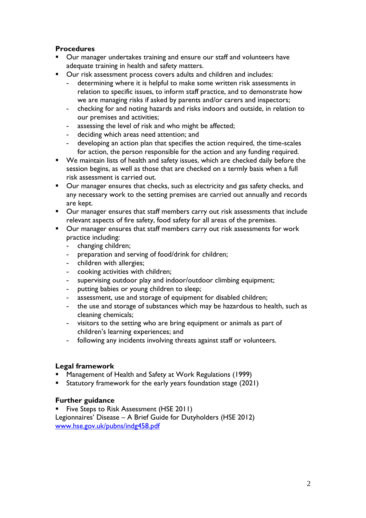## **Procedures**

- Our manager undertakes training and ensure our staff and volunteers have adequate training in health and safety matters.
- Our risk assessment process covers adults and children and includes:
	- **-** determining where it is helpful to make some written risk assessments in relation to specific issues, to inform staff practice, and to demonstrate how we are managing risks if asked by parents and/or carers and inspectors;
	- **-** checking for and noting hazards and risks indoors and outside, in relation to our premises and activities;
	- **-** assessing the level of risk and who might be affected;
	- **-** deciding which areas need attention; and
	- **-** developing an action plan that specifies the action required, the time-scales for action, the person responsible for the action and any funding required.
- We maintain lists of health and safety issues, which are checked daily before the session begins, as well as those that are checked on a termly basis when a full risk assessment is carried out.
- Our manager ensures that checks, such as electricity and gas safety checks, and any necessary work to the setting premises are carried out annually and records are kept.
- Our manager ensures that staff members carry out risk assessments that include relevant aspects of fire safety, food safety for all areas of the premises.
- Our manager ensures that staff members carry out risk assessments for work practice including:
	- **-** changing children;
	- **-** preparation and serving of food/drink for children;
	- **-** children with allergies;
	- **-** cooking activities with children;
	- **-** supervising outdoor play and indoor/outdoor climbing equipment;
	- **-** putting babies or young children to sleep;
	- **-** assessment, use and storage of equipment for disabled children;
	- **-** the use and storage of substances which may be hazardous to health, such as cleaning chemicals;
	- **-** visitors to the setting who are bring equipment or animals as part of children's learning experiences; and
	- **-** following any incidents involving threats against staff or volunteers.

### **Legal framework**

- Management of Health and Safety at Work Regulations (1999)
- Statutory framework for the early years foundation stage (2021)

#### **Further guidance**

**E** Five Steps to Risk Assessment (HSE 2011) Legionnaires' Disease – A Brief Guide for Dutyholders (HSE 2012) [www.hse.gov.uk/pubns/indg458.pdf](http://www.hse.gov.uk/pubns/indg458.pdf)